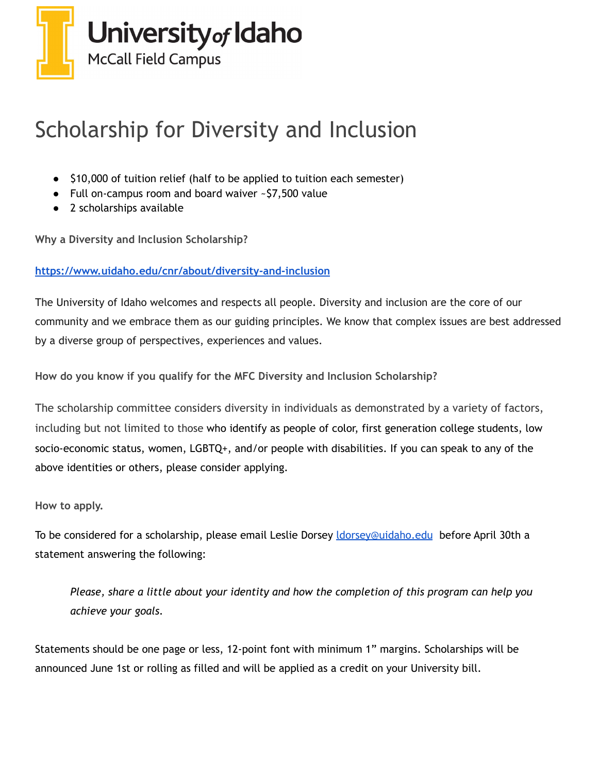

## Scholarship for Diversity and Inclusion

- \$10,000 of tuition relief (half to be applied to tuition each semester)
- Full on-campus room and board waiver ~\$7,500 value
- 2 scholarships available

**Why a Diversity and Inclusion Scholarship?**

## **<https://www.uidaho.edu/cnr/about/diversity-and-inclusion>**

The University of Idaho welcomes and respects all people. Diversity and inclusion are the core of our community and we embrace them as our guiding principles. We know that complex issues are best addressed by a diverse group of perspectives, experiences and values.

**How do you know if you qualify for the MFC Diversity and Inclusion Scholarship?**

The scholarship committee considers diversity in individuals as demonstrated by a variety of factors, including but not limited to those who identify as people of color, first generation college students, low socio-economic status, women, LGBTQ+, and/or people with disabilities. If you can speak to any of the above identities or others, please consider applying.

**How to apply.**

To be considered for a scholarship, please email Leslie Dorsey *dorsey@uidaho.edu* before April 30th a statement answering the following:

*Please, share a little about your identity and how the completion of this program can help you achieve your goals.*

Statements should be one page or less, 12-point font with minimum 1" margins. Scholarships will be announced June 1st or rolling as filled and will be applied as a credit on your University bill.